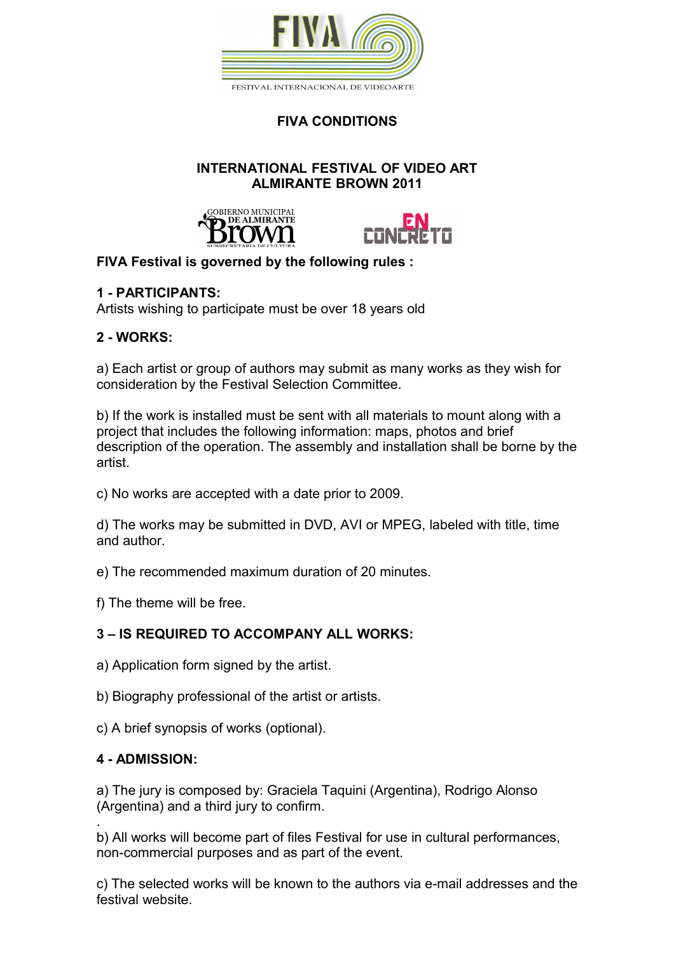

**FIVA CONDITIONS**

### **INTERNATIONAL FESTIVAL OF VIDEO ART ALMIRANTE BROWN 2011**





# **FIVA Festival is governed by the following rules :**

# **1 - PARTICIPANTS:**

Artists wishing to participate must be over 18 years old

# **2 - WORKS:**

a) Each artist or group of authors may submit as many works as they wish for consideration by the Festival Selection Committee.

b) If the work is installed must be sent with all materials to mount along with a project that includes the following information: maps, photos and brief description of the operation. The assembly and installation shall be borne by the artist.

c) No works are accepted with a date prior to 2009.

d) The works may be submitted in DVD, AVI or MPEG, labeled with title, time and author.

e) The recommended maximum duration of 20 minutes.

f) The theme will be free.

# **3 – IS REQUIRED TO ACCOMPANY ALL WORKS:**

a) Application form signed by the artist.

b) Biography professional of the artist or artists.

c) A brief synopsis of works (optional).

# **4 - ADMISSION:**

a) The jury is composed by: Graciela Taquini (Argentina), Rodrigo Alonso (Argentina) and a third jury to confirm.

. b) All works will become part of files Festival for use in cultural performances, non-commercial purposes and as part of the event.

c) The selected works will be known to the authors via e-mail addresses and the festival website.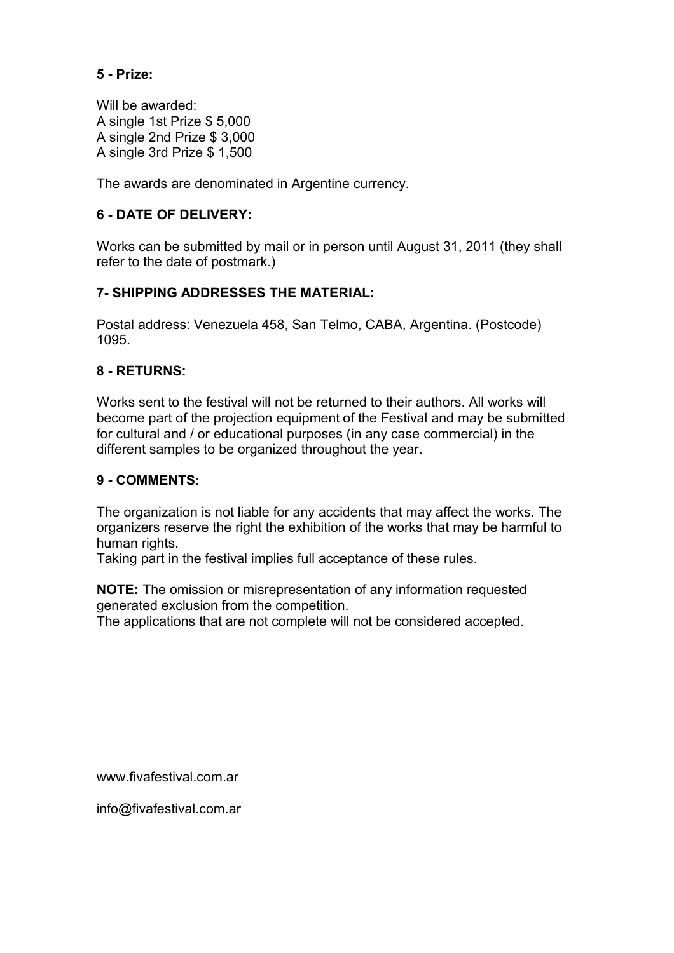### **5 - Prize:**

Will be awarded: A single 1st Prize \$ 5,000 A single 2nd Prize \$ 3,000 A single 3rd Prize \$ 1,500

The awards are denominated in Argentine currency.

### **6 - DATE OF DELIVERY:**

Works can be submitted by mail or in person until August 31, 2011 (they shall refer to the date of postmark.)

#### **7- SHIPPING ADDRESSES THE MATERIAL:**

Postal address: Venezuela 458, San Telmo, CABA, Argentina. (Postcode) 1095.

#### **8 - RETURNS:**

Works sent to the festival will not be returned to their authors. All works will become part of the projection equipment of the Festival and may be submitted for cultural and / or educational purposes (in any case commercial) in the different samples to be organized throughout the year.

#### **9 - COMMENTS:**

The organization is not liable for any accidents that may affect the works. The organizers reserve the right the exhibition of the works that may be harmful to human rights.

Taking part in the festival implies full acceptance of these rules.

**NOTE:** The omission or misrepresentation of any information requested generated exclusion from the competition.

The applications that are not complete will not be considered accepted.

www.fivafestival.com.ar

info@fivafestival.com.ar